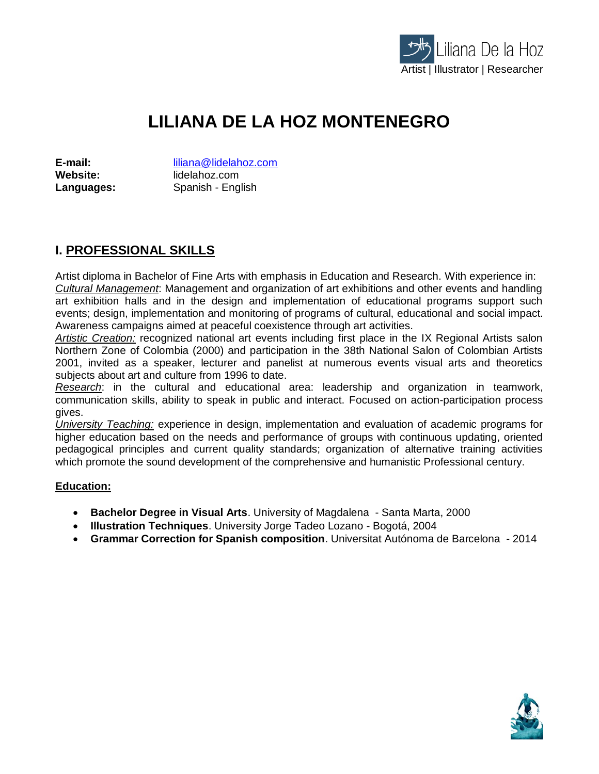

# **LILIANA DE LA HOZ MONTENEGRO**

**E-mail:** liliana@lidelahoz.com<br>
Website: lidelahoz.com **Website:** lidelahoz.com **Languages:** Spanish - English

# **I. PROFESSIONAL SKILLS**

Artist diploma in Bachelor of Fine Arts with emphasis in Education and Research. With experience in: *Cultural Management*: Management and organization of art exhibitions and other events and handling art exhibition halls and in the design and implementation of educational programs support such events; design, implementation and monitoring of programs of cultural, educational and social impact. Awareness campaigns aimed at peaceful coexistence through art activities.

*Artistic Creation:* recognized national art events including first place in the IX Regional Artists salon Northern Zone of Colombia (2000) and participation in the 38th National Salon of Colombian Artists 2001, invited as a speaker, lecturer and panelist at numerous events visual arts and theoretics subjects about art and culture from 1996 to date.

*Research*: in the cultural and educational area: leadership and organization in teamwork, communication skills, ability to speak in public and interact. Focused on action-participation process gives.

*University Teaching:* experience in design, implementation and evaluation of academic programs for higher education based on the needs and performance of groups with continuous updating, oriented pedagogical principles and current quality standards; organization of alternative training activities which promote the sound development of the comprehensive and humanistic Professional century.

#### **Education:**

- **Bachelor Degree in Visual Arts**. University of Magdalena Santa Marta, 2000
- **Illustration Techniques**. University Jorge Tadeo Lozano Bogotá, 2004
- **Grammar Correction for Spanish composition**. Universitat Autónoma de Barcelona 2014

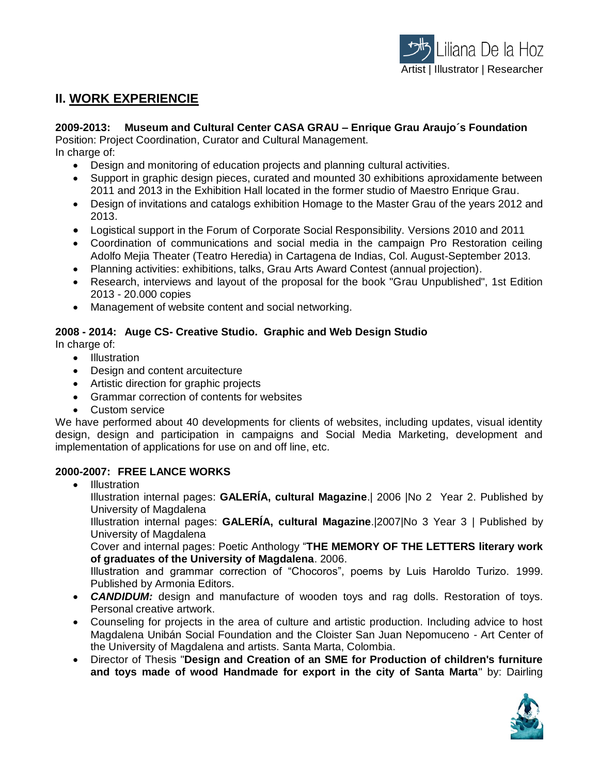

## **II. WORK EXPERIENCIE**

#### **2009-2013: Museum and Cultural Center CASA GRAU – Enrique Grau Araujo´s Foundation**

Position: Project Coordination, Curator and Cultural Management.

In charge of:

- Design and monitoring of education projects and planning cultural activities.
- Support in graphic design pieces, curated and mounted 30 exhibitions aproxidamente between 2011 and 2013 in the Exhibition Hall located in the former studio of Maestro Enrique Grau.
- Design of invitations and catalogs exhibition Homage to the Master Grau of the years 2012 and 2013.
- Logistical support in the Forum of Corporate Social Responsibility. Versions 2010 and 2011
- Coordination of communications and social media in the campaign Pro Restoration ceiling Adolfo Mejia Theater (Teatro Heredia) in Cartagena de Indias, Col. August-September 2013.
- Planning activities: exhibitions, talks, Grau Arts Award Contest (annual projection).
- Research, interviews and layout of the proposal for the book "Grau Unpublished", 1st Edition 2013 - 20.000 copies
- Management of website content and social networking.

#### **2008 - 2014: Auge CS- Creative Studio. Graphic and Web Design Studio**

In charge of:

- Illustration
- Design and content arcuitecture
- Artistic direction for graphic projects
- Grammar correction of contents for websites
- Custom service

We have performed about 40 developments for clients of websites, including updates, visual identity design, design and participation in campaigns and Social Media Marketing, development and implementation of applications for use on and off line, etc.

#### **2000-2007: FREE LANCE WORKS**

• Illustration

Illustration internal pages: **GALERÍA, cultural Magazine**.| 2006 |No 2 Year 2. Published by University of Magdalena

Illustration internal pages: **GALERÍA, cultural Magazine**.|2007|No 3 Year 3 | Published by University of Magdalena

Cover and internal pages: Poetic Anthology "**THE MEMORY OF THE LETTERS literary work of graduates of the University of Magdalena**. 2006.

Illustration and grammar correction of "Chocoros", poems by Luis Haroldo Turizo. 1999. Published by Armonia Editors.

- *CANDIDUM:* design and manufacture of wooden toys and rag dolls. Restoration of toys. Personal creative artwork.
- Counseling for projects in the area of culture and artistic production. Including advice to host Magdalena Unibán Social Foundation and the Cloister San Juan Nepomuceno - Art Center of the University of Magdalena and artists. Santa Marta, Colombia.
- Director of Thesis "**Design and Creation of an SME for Production of children's furniture and toys made of wood Handmade for export in the city of Santa Marta**" by: Dairling

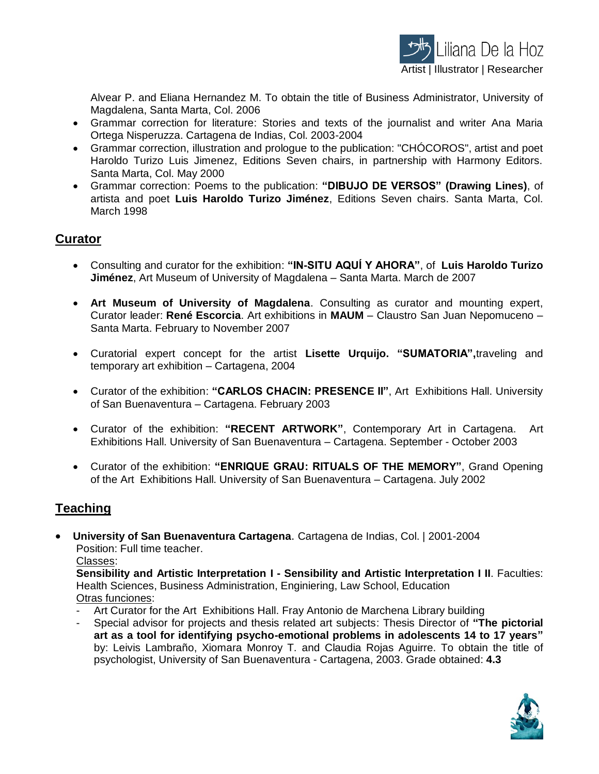

Alvear P. and Eliana Hernandez M. To obtain the title of Business Administrator, University of Magdalena, Santa Marta, Col. 2006

- Grammar correction for literature: Stories and texts of the journalist and writer Ana Maria Ortega Nisperuzza. Cartagena de Indias, Col. 2003-2004
- Grammar correction, illustration and prologue to the publication: "CHÓCOROS", artist and poet Haroldo Turizo Luis Jimenez, Editions Seven chairs, in partnership with Harmony Editors. Santa Marta, Col. May 2000
- Grammar correction: Poems to the publication: **"DIBUJO DE VERSOS" (Drawing Lines)**, of artista and poet **Luis Haroldo Turizo Jiménez**, Editions Seven chairs. Santa Marta, Col. March 1998

## **Curator**

- Consulting and curator for the exhibition: **"IN-SITU AQUÍ Y AHORA"**, of **Luis Haroldo Turizo Jiménez**, Art Museum of University of Magdalena – Santa Marta. March de 2007
- **Art Museum of University of Magdalena**. Consulting as curator and mounting expert, Curator leader: **René Escorcia**. Art exhibitions in **MAUM** – Claustro San Juan Nepomuceno – Santa Marta. February to November 2007
- Curatorial expert concept for the artist **Lisette Urquijo. "SUMATORIA",**traveling and temporary art exhibition – Cartagena, 2004
- Curator of the exhibition: **"CARLOS CHACIN: PRESENCE II"**, Art Exhibitions Hall. University of San Buenaventura – Cartagena. February 2003
- Curator of the exhibition: **"RECENT ARTWORK"**, Contemporary Art in Cartagena. Art Exhibitions Hall. University of San Buenaventura – Cartagena. September - October 2003
- Curator of the exhibition: **"ENRIQUE GRAU: RITUALS OF THE MEMORY"**, Grand Opening of the Art Exhibitions Hall. University of San Buenaventura – Cartagena. July 2002

# **Teaching**

 **University of San Buenaventura Cartagena**. Cartagena de Indias, Col. | 2001-2004 Position: Full time teacher.

Classes:

**Sensibility and Artistic Interpretation I - Sensibility and Artistic Interpretation I II**. Faculties: Health Sciences, Business Administration, Enginiering, Law School, Education Otras funciones:

- Art Curator for the Art Exhibitions Hall. Fray Antonio de Marchena Library building
- Special advisor for projects and thesis related art subjects: Thesis Director of **"The pictorial art as a tool for identifying psycho-emotional problems in adolescents 14 to 17 years"** by: Leivis Lambraño, Xiomara Monroy T. and Claudia Rojas Aguirre. To obtain the title of psychologist, University of San Buenaventura - Cartagena, 2003. Grade obtained: **4.3**

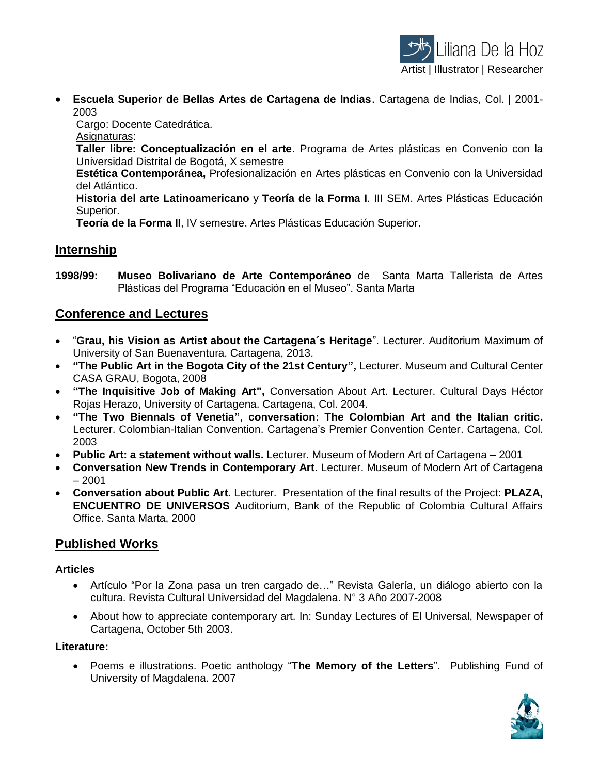

 **Escuela Superior de Bellas Artes de Cartagena de Indias**. Cartagena de Indias, Col. | 2001- 2003

Cargo: Docente Catedrática.

Asignaturas:

**Taller libre: Conceptualización en el arte**. Programa de Artes plásticas en Convenio con la Universidad Distrital de Bogotá, X semestre

**Estética Contemporánea,** Profesionalización en Artes plásticas en Convenio con la Universidad del Atlántico.

**Historia del arte Latinoamericano** y **Teoría de la Forma I**. III SEM. Artes Plásticas Educación Superior.

**Teoría de la Forma II**, IV semestre. Artes Plásticas Educación Superior.

## **Internship**

**1998/99: Museo Bolivariano de Arte Contemporáneo** de Santa Marta Tallerista de Artes Plásticas del Programa "Educación en el Museo". Santa Marta

## **Conference and Lectures**

- "**Grau, his Vision as Artist about the Cartagena´s Heritage**". Lecturer. Auditorium Maximum of University of San Buenaventura. Cartagena, 2013.
- **"The Public Art in the Bogota City of the 21st Century",** Lecturer. Museum and Cultural Center CASA GRAU, Bogota, 2008
- **"The Inquisitive Job of Making Art",** Conversation About Art. Lecturer. Cultural Days Héctor Rojas Herazo, University of Cartagena. Cartagena, Col. 2004.
- **"The Two Biennals of Venetia", conversation: The Colombian Art and the Italian critic.**  Lecturer. Colombian-Italian Convention. Cartagena's Premier Convention Center. Cartagena, Col. 2003
- **Public Art: a statement without walls.** Lecturer. Museum of Modern Art of Cartagena 2001
- **Conversation New Trends in Contemporary Art**. Lecturer. Museum of Modern Art of Cartagena  $-2001$
- **Conversation about Public Art.** Lecturer. Presentation of the final results of the Project: **PLAZA, ENCUENTRO DE UNIVERSOS** Auditorium, Bank of the Republic of Colombia Cultural Affairs Office. Santa Marta, 2000

# **Published Works**

#### **Articles**

- Artículo "Por la Zona pasa un tren cargado de…" Revista Galería, un diálogo abierto con la cultura. Revista Cultural Universidad del Magdalena. N° 3 Año 2007-2008
- About how to appreciate contemporary art. In: Sunday Lectures of El Universal, Newspaper of Cartagena, October 5th 2003.

#### **Literature:**

 Poems e illustrations. Poetic anthology "**The Memory of the Letters**". Publishing Fund of University of Magdalena. 2007

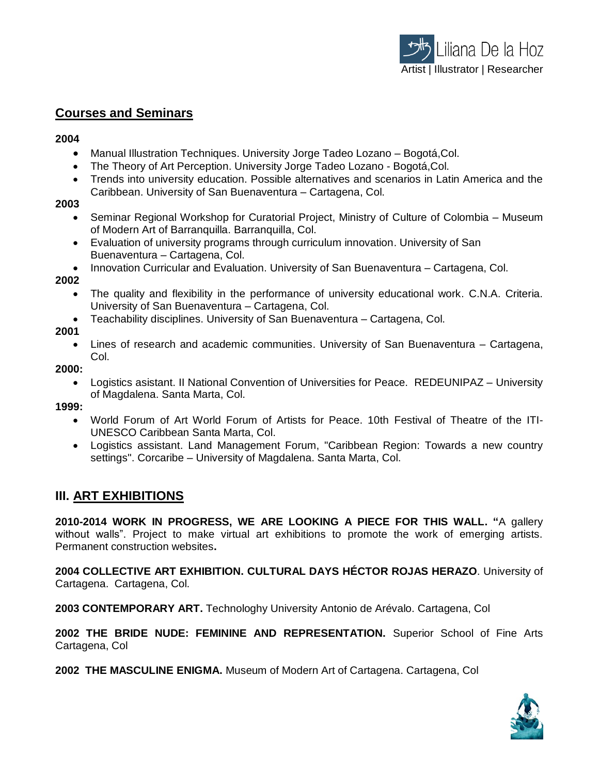## **Courses and Seminars**

#### **2004**

- Manual Illustration Techniques. University Jorge Tadeo Lozano Bogotá,Col.
- The Theory of Art Perception. University Jorge Tadeo Lozano Bogotá,Col.
- Trends into university education. Possible alternatives and scenarios in Latin America and the Caribbean. University of San Buenaventura – Cartagena, Col.

#### **2003**

- Seminar Regional Workshop for Curatorial Project, Ministry of Culture of Colombia Museum of Modern Art of Barranquilla. Barranquilla, Col.
- Evaluation of university programs through curriculum innovation. University of San Buenaventura – Cartagena, Col.
- Innovation Curricular and Evaluation. University of San Buenaventura Cartagena, Col.

#### **2002**

- The quality and flexibility in the performance of university educational work. C.N.A. Criteria. University of San Buenaventura – Cartagena, Col.
- Teachability disciplines. University of San Buenaventura Cartagena, Col.

#### **2001**

 Lines of research and academic communities. University of San Buenaventura – Cartagena, Col.

#### **2000:**

 Logistics asistant. II National Convention of Universities for Peace. REDEUNIPAZ – University of Magdalena. Santa Marta, Col.

#### **1999:**

- World Forum of Art World Forum of Artists for Peace. 10th Festival of Theatre of the ITI-UNESCO Caribbean Santa Marta, Col.
- Logistics assistant. Land Management Forum, "Caribbean Region: Towards a new country settings". Corcaribe – University of Magdalena. Santa Marta, Col.

## **III. ART EXHIBITIONS**

**2010-2014 WORK IN PROGRESS, WE ARE LOOKING A PIECE FOR THIS WALL. "**A gallery without walls". Project to make virtual art exhibitions to promote the work of emerging artists. Permanent construction websites**.**

**2004 COLLECTIVE ART EXHIBITION. CULTURAL DAYS HÉCTOR ROJAS HERAZO**. University of Cartagena. Cartagena, Col.

**2003 CONTEMPORARY ART.** Technologhy University Antonio de Arévalo. Cartagena, Col

**2002 THE BRIDE NUDE: FEMININE AND REPRESENTATION.** Superior School of Fine Arts Cartagena, Col

**2002 THE MASCULINE ENIGMA.** Museum of Modern Art of Cartagena. Cartagena, Col